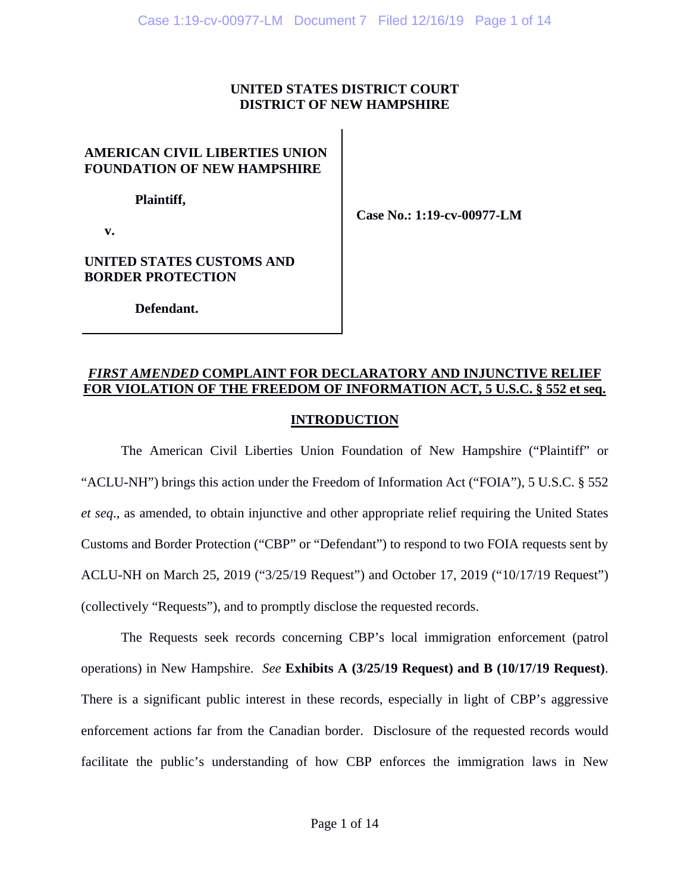### **UNITED STATES DISTRICT COURT DISTRICT OF NEW HAMPSHIRE**

# **AMERICAN CIVIL LIBERTIES UNION FOUNDATION OF NEW HAMPSHIRE**

 **Plaintiff,** 

**Case No.: 1:19-cv-00977-LM** 

 **v.** 

## **UNITED STATES CUSTOMS AND BORDER PROTECTION**

 **Defendant.** 

# *FIRST AMENDED* **COMPLAINT FOR DECLARATORY AND INJUNCTIVE RELIEF FOR VIOLATION OF THE FREEDOM OF INFORMATION ACT, 5 U.S.C. § 552 et seq.**

## **INTRODUCTION**

The American Civil Liberties Union Foundation of New Hampshire ("Plaintiff" or "ACLU-NH") brings this action under the Freedom of Information Act ("FOIA"), 5 U.S.C. § 552 *et seq*., as amended, to obtain injunctive and other appropriate relief requiring the United States Customs and Border Protection ("CBP" or "Defendant") to respond to two FOIA requests sent by ACLU-NH on March 25, 2019 ("3/25/19 Request") and October 17, 2019 ("10/17/19 Request") (collectively "Requests"), and to promptly disclose the requested records.

The Requests seek records concerning CBP's local immigration enforcement (patrol operations) in New Hampshire. *See* **Exhibits A (3/25/19 Request) and B (10/17/19 Request)**. There is a significant public interest in these records, especially in light of CBP's aggressive enforcement actions far from the Canadian border. Disclosure of the requested records would facilitate the public's understanding of how CBP enforces the immigration laws in New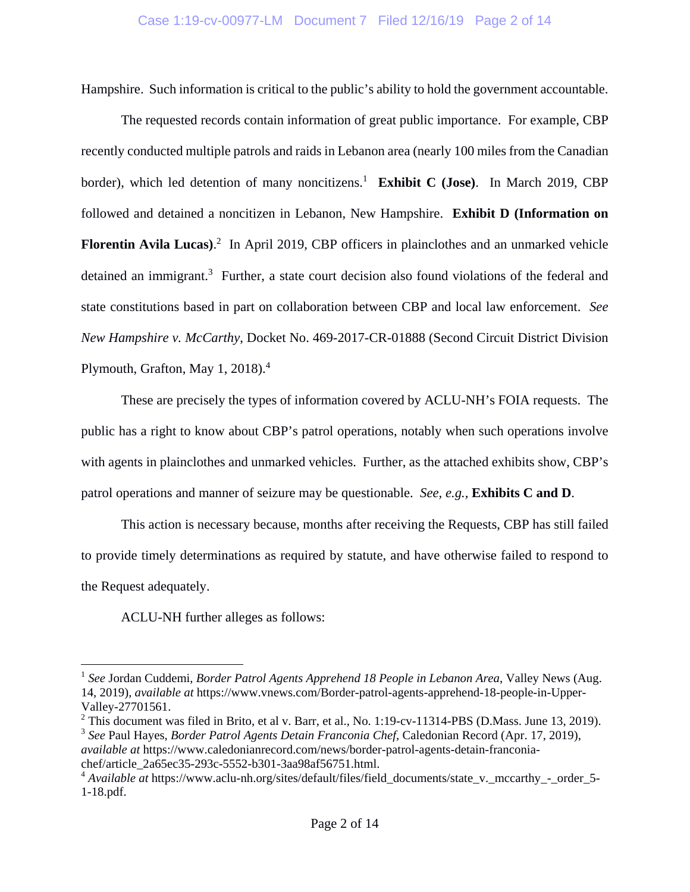Hampshire. Such information is critical to the public's ability to hold the government accountable.

The requested records contain information of great public importance. For example, CBP recently conducted multiple patrols and raids in Lebanon area (nearly 100 miles from the Canadian border), which led detention of many noncitizens.<sup>1</sup> Exhibit C (Jose). In March 2019, CBP followed and detained a noncitizen in Lebanon, New Hampshire. **Exhibit D (Information on**  Florentin Avila Lucas).<sup>2</sup> In April 2019, CBP officers in plainclothes and an unmarked vehicle detained an immigrant.<sup>3</sup> Further, a state court decision also found violations of the federal and state constitutions based in part on collaboration between CBP and local law enforcement. *See New Hampshire v. McCarthy*, Docket No. 469-2017-CR-01888 (Second Circuit District Division Plymouth, Grafton, May 1, 2018).<sup>4</sup>

These are precisely the types of information covered by ACLU-NH's FOIA requests. The public has a right to know about CBP's patrol operations, notably when such operations involve with agents in plainclothes and unmarked vehicles. Further, as the attached exhibits show, CBP's patrol operations and manner of seizure may be questionable. *See, e.g.,* **Exhibits C and D**.

This action is necessary because, months after receiving the Requests, CBP has still failed to provide timely determinations as required by statute, and have otherwise failed to respond to the Request adequately.

ACLU-NH further alleges as follows:

<u>.</u>

<sup>&</sup>lt;sup>1</sup> See Jordan Cuddemi, *Border Patrol Agents Apprehend 18 People in Lebanon Area*, Valley News (Aug. 14, 2019), *available at* https://www.vnews.com/Border-patrol-agents-apprehend-18-people-in-Upper-Valley-27701561.

<sup>&</sup>lt;sup>2</sup> This document was filed in Brito, et al v. Barr, et al., No. 1:19-cv-11314-PBS (D.Mass. June 13, 2019).

<sup>3</sup> *See* Paul Hayes, *Border Patrol Agents Detain Franconia Chef*, Caledonian Record (Apr. 17, 2019), *available at* https://www.caledonianrecord.com/news/border-patrol-agents-detain-franconiachef/article\_2a65ec35-293c-5552-b301-3aa98af56751.html.

<sup>&</sup>lt;sup>4</sup> *Available at* https://www.aclu-nh.org/sites/default/files/field\_documents/state\_v.\_mccarthy\_-\_order\_5-1-18.pdf.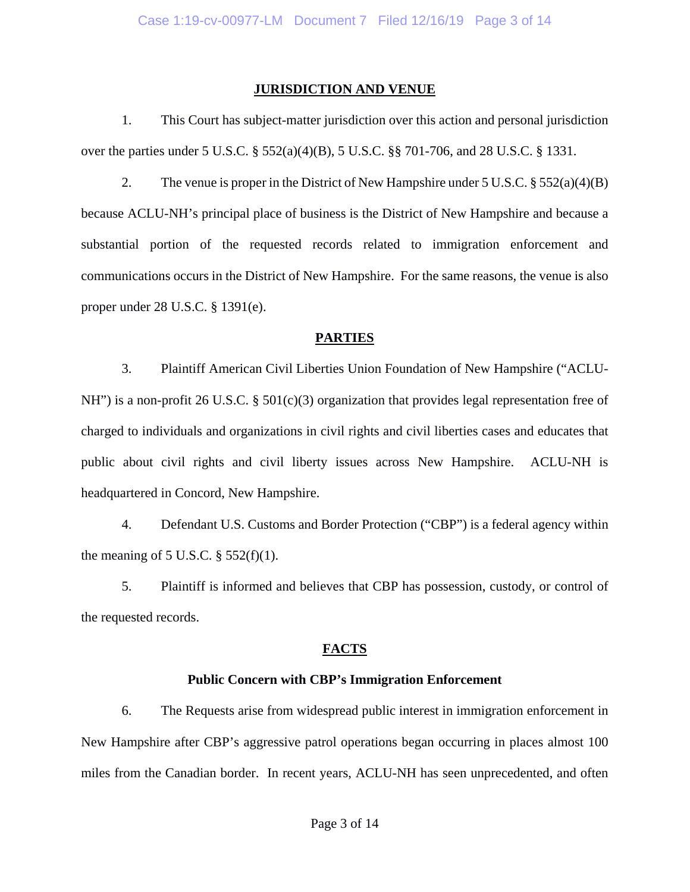#### **JURISDICTION AND VENUE**

1. This Court has subject-matter jurisdiction over this action and personal jurisdiction over the parties under 5 U.S.C. § 552(a)(4)(B), 5 U.S.C. §§ 701-706, and 28 U.S.C. § 1331.

2. The venue is proper in the District of New Hampshire under  $5 \text{ U.S.C.} \S 552(a)(4)(B)$ because ACLU-NH's principal place of business is the District of New Hampshire and because a substantial portion of the requested records related to immigration enforcement and communications occurs in the District of New Hampshire. For the same reasons, the venue is also proper under 28 U.S.C. § 1391(e).

#### **PARTIES**

3. Plaintiff American Civil Liberties Union Foundation of New Hampshire ("ACLU-NH") is a non-profit 26 U.S.C. § 501(c)(3) organization that provides legal representation free of charged to individuals and organizations in civil rights and civil liberties cases and educates that public about civil rights and civil liberty issues across New Hampshire. ACLU-NH is headquartered in Concord, New Hampshire.

4. Defendant U.S. Customs and Border Protection ("CBP") is a federal agency within the meaning of 5 U.S.C.  $\S$  552(f)(1).

5. Plaintiff is informed and believes that CBP has possession, custody, or control of the requested records.

#### **FACTS**

#### **Public Concern with CBP's Immigration Enforcement**

6. The Requests arise from widespread public interest in immigration enforcement in New Hampshire after CBP's aggressive patrol operations began occurring in places almost 100 miles from the Canadian border. In recent years, ACLU-NH has seen unprecedented, and often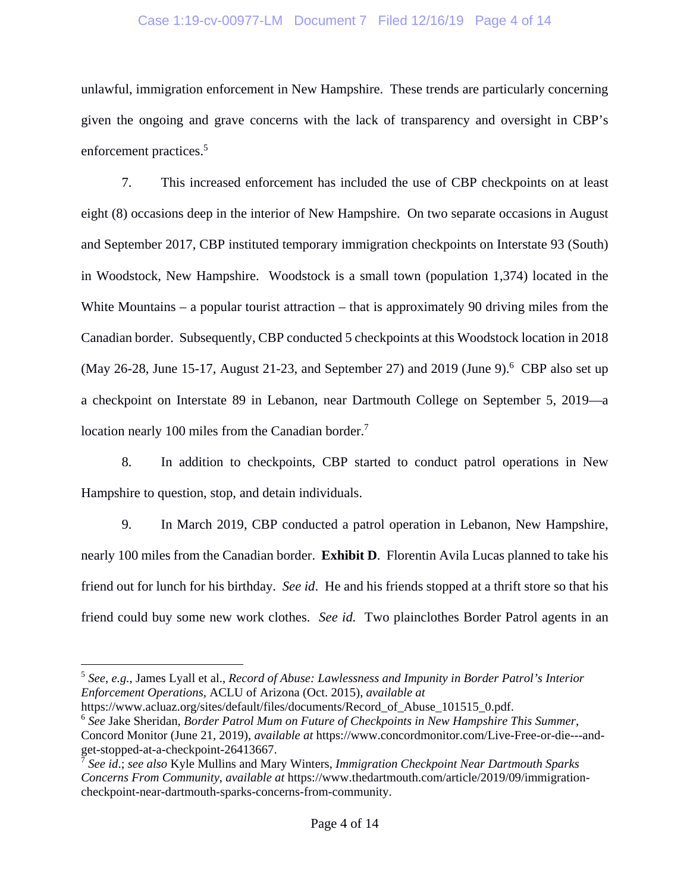#### Case 1:19-cv-00977-LM Document 7 Filed 12/16/19 Page 4 of 14

unlawful, immigration enforcement in New Hampshire. These trends are particularly concerning given the ongoing and grave concerns with the lack of transparency and oversight in CBP's enforcement practices.<sup>5</sup>

7. This increased enforcement has included the use of CBP checkpoints on at least eight (8) occasions deep in the interior of New Hampshire. On two separate occasions in August and September 2017, CBP instituted temporary immigration checkpoints on Interstate 93 (South) in Woodstock, New Hampshire. Woodstock is a small town (population 1,374) located in the White Mountains – a popular tourist attraction – that is approximately 90 driving miles from the Canadian border. Subsequently, CBP conducted 5 checkpoints at this Woodstock location in 2018 (May 26-28, June 15-17, August 21-23, and September 27) and 2019 (June 9).<sup>6</sup> CBP also set up a checkpoint on Interstate 89 in Lebanon, near Dartmouth College on September 5, 2019—a location nearly 100 miles from the Canadian border.<sup>7</sup>

8. In addition to checkpoints, CBP started to conduct patrol operations in New Hampshire to question, stop, and detain individuals.

9. In March 2019, CBP conducted a patrol operation in Lebanon, New Hampshire, nearly 100 miles from the Canadian border. **Exhibit D**. Florentin Avila Lucas planned to take his friend out for lunch for his birthday. *See id*. He and his friends stopped at a thrift store so that his friend could buy some new work clothes. *See id*. Two plainclothes Border Patrol agents in an

 $\overline{a}$ 

<sup>5</sup> *See, e.g.*, James Lyall et al., *Record of Abuse: Lawlessness and Impunity in Border Patrol's Interior Enforcement Operations*, ACLU of Arizona (Oct. 2015), *available at*

https://www.acluaz.org/sites/default/files/documents/Record\_of\_Abuse\_101515\_0.pdf.

<sup>6</sup> *See* Jake Sheridan, *Border Patrol Mum on Future of Checkpoints in New Hampshire This Summer*, Concord Monitor (June 21, 2019), *available at* https://www.concordmonitor.com/Live-Free-or-die---andget-stopped-at-a-checkpoint-26413667.

<sup>7</sup> *See id*.; *see also* Kyle Mullins and Mary Winters, *Immigration Checkpoint Near Dartmouth Sparks Concerns From Community*, *available at* https://www.thedartmouth.com/article/2019/09/immigrationcheckpoint-near-dartmouth-sparks-concerns-from-community.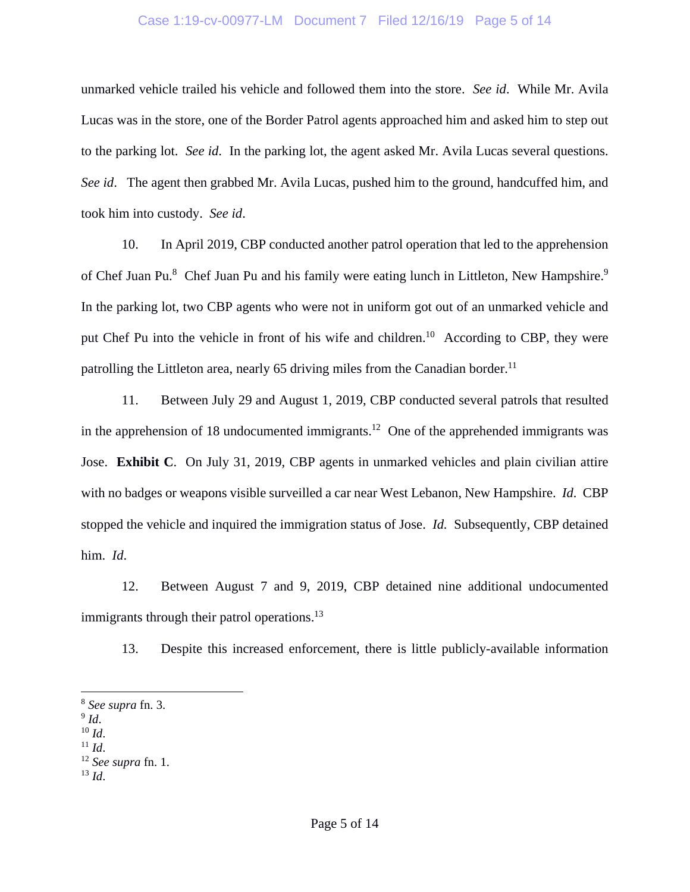#### Case 1:19-cv-00977-LM Document 7 Filed 12/16/19 Page 5 of 14

unmarked vehicle trailed his vehicle and followed them into the store. *See id*. While Mr. Avila Lucas was in the store, one of the Border Patrol agents approached him and asked him to step out to the parking lot. *See id*. In the parking lot, the agent asked Mr. Avila Lucas several questions. *See id*. The agent then grabbed Mr. Avila Lucas, pushed him to the ground, handcuffed him, and took him into custody. *See id*.

10. In April 2019, CBP conducted another patrol operation that led to the apprehension of Chef Juan Pu.<sup>8</sup> Chef Juan Pu and his family were eating lunch in Littleton, New Hampshire.<sup>9</sup> In the parking lot, two CBP agents who were not in uniform got out of an unmarked vehicle and put Chef Pu into the vehicle in front of his wife and children.<sup>10</sup> According to CBP, they were patrolling the Littleton area, nearly 65 driving miles from the Canadian border.<sup>11</sup>

11. Between July 29 and August 1, 2019, CBP conducted several patrols that resulted in the apprehension of 18 undocumented immigrants.<sup>12</sup> One of the apprehended immigrants was Jose. **Exhibit C**. On July 31, 2019, CBP agents in unmarked vehicles and plain civilian attire with no badges or weapons visible surveilled a car near West Lebanon, New Hampshire. *Id*. CBP stopped the vehicle and inquired the immigration status of Jose. *Id.* Subsequently, CBP detained him. *Id*.

12. Between August 7 and 9, 2019, CBP detained nine additional undocumented immigrants through their patrol operations.<sup>13</sup>

13. Despite this increased enforcement, there is little publicly-available information

 $\overline{a}$ 

- 
- 

 $^{13}$  *Id.* 

<sup>8</sup> *See supra* fn. 3.

<sup>9</sup> *Id*. 10 *Id*. 11 *Id*. 12 *See supra* fn. 1.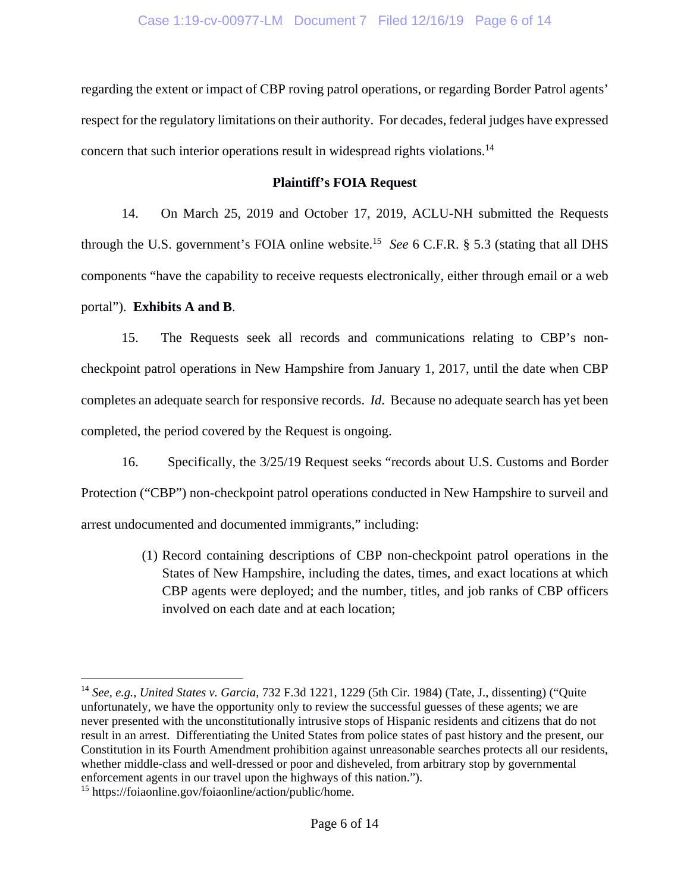regarding the extent or impact of CBP roving patrol operations, or regarding Border Patrol agents' respect for the regulatory limitations on their authority. For decades, federal judges have expressed concern that such interior operations result in widespread rights violations.14

### **Plaintiff's FOIA Request**

14. On March 25, 2019 and October 17, 2019, ACLU-NH submitted the Requests through the U.S. government's FOIA online website.15 *See* 6 C.F.R. § 5.3 (stating that all DHS components "have the capability to receive requests electronically, either through email or a web portal"). **Exhibits A and B**.

15. The Requests seek all records and communications relating to CBP's noncheckpoint patrol operations in New Hampshire from January 1, 2017, until the date when CBP completes an adequate search for responsive records. *Id*. Because no adequate search has yet been completed, the period covered by the Request is ongoing.

16. Specifically, the 3/25/19 Request seeks "records about U.S. Customs and Border Protection ("CBP") non-checkpoint patrol operations conducted in New Hampshire to surveil and arrest undocumented and documented immigrants," including:

> (1) Record containing descriptions of CBP non-checkpoint patrol operations in the States of New Hampshire, including the dates, times, and exact locations at which CBP agents were deployed; and the number, titles, and job ranks of CBP officers involved on each date and at each location;

 $\overline{a}$ 

<sup>14</sup> *See, e.g., United States v. Garcia*, 732 F.3d 1221, 1229 (5th Cir. 1984) (Tate, J., dissenting) ("Quite unfortunately, we have the opportunity only to review the successful guesses of these agents; we are never presented with the unconstitutionally intrusive stops of Hispanic residents and citizens that do not result in an arrest. Differentiating the United States from police states of past history and the present, our Constitution in its Fourth Amendment prohibition against unreasonable searches protects all our residents, whether middle-class and well-dressed or poor and disheveled, from arbitrary stop by governmental enforcement agents in our travel upon the highways of this nation.").

<sup>15</sup> https://foiaonline.gov/foiaonline/action/public/home.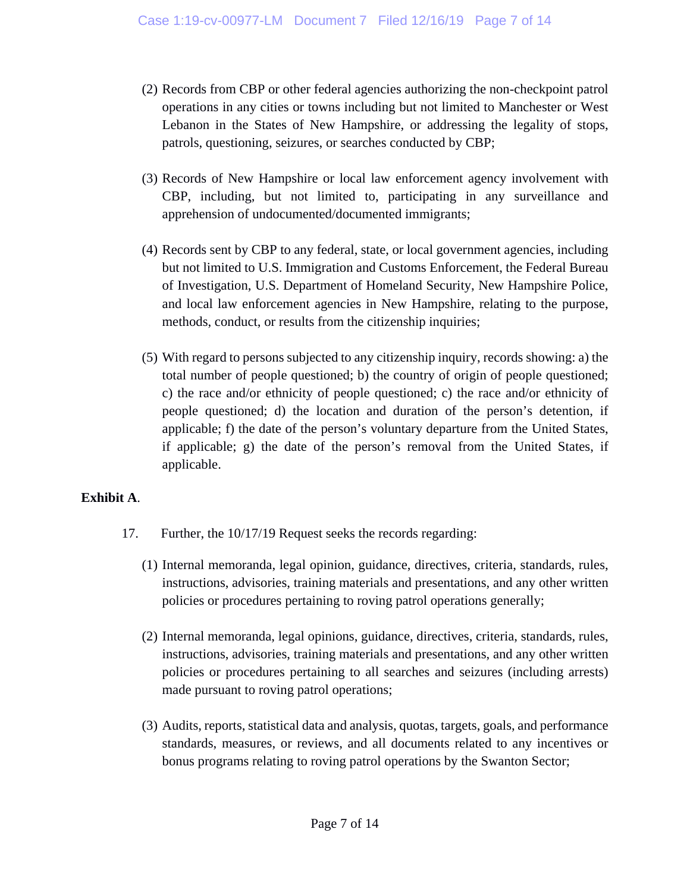- (2) Records from CBP or other federal agencies authorizing the non-checkpoint patrol operations in any cities or towns including but not limited to Manchester or West Lebanon in the States of New Hampshire, or addressing the legality of stops, patrols, questioning, seizures, or searches conducted by CBP;
- (3) Records of New Hampshire or local law enforcement agency involvement with CBP, including, but not limited to, participating in any surveillance and apprehension of undocumented/documented immigrants;
- (4) Records sent by CBP to any federal, state, or local government agencies, including but not limited to U.S. Immigration and Customs Enforcement, the Federal Bureau of Investigation, U.S. Department of Homeland Security, New Hampshire Police, and local law enforcement agencies in New Hampshire, relating to the purpose, methods, conduct, or results from the citizenship inquiries;
- (5) With regard to persons subjected to any citizenship inquiry, records showing: a) the total number of people questioned; b) the country of origin of people questioned; c) the race and/or ethnicity of people questioned; c) the race and/or ethnicity of people questioned; d) the location and duration of the person's detention, if applicable; f) the date of the person's voluntary departure from the United States, if applicable; g) the date of the person's removal from the United States, if applicable.

## **Exhibit A**.

- 17. Further, the 10/17/19 Request seeks the records regarding:
	- (1) Internal memoranda, legal opinion, guidance, directives, criteria, standards, rules, instructions, advisories, training materials and presentations, and any other written policies or procedures pertaining to roving patrol operations generally;
	- (2) Internal memoranda, legal opinions, guidance, directives, criteria, standards, rules, instructions, advisories, training materials and presentations, and any other written policies or procedures pertaining to all searches and seizures (including arrests) made pursuant to roving patrol operations;
	- (3) Audits, reports, statistical data and analysis, quotas, targets, goals, and performance standards, measures, or reviews, and all documents related to any incentives or bonus programs relating to roving patrol operations by the Swanton Sector;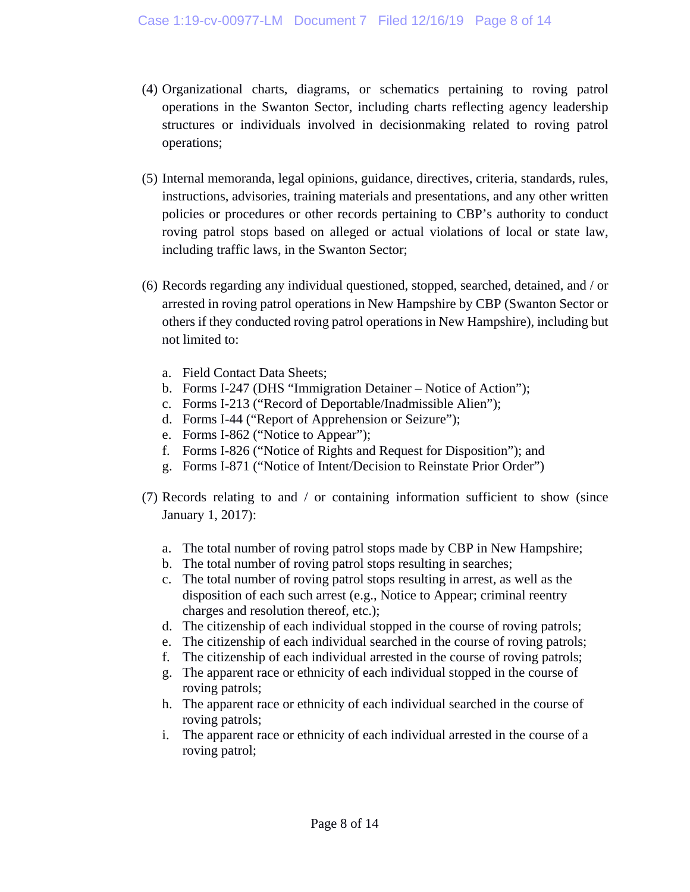- (4) Organizational charts, diagrams, or schematics pertaining to roving patrol operations in the Swanton Sector, including charts reflecting agency leadership structures or individuals involved in decisionmaking related to roving patrol operations;
- (5) Internal memoranda, legal opinions, guidance, directives, criteria, standards, rules, instructions, advisories, training materials and presentations, and any other written policies or procedures or other records pertaining to CBP's authority to conduct roving patrol stops based on alleged or actual violations of local or state law, including traffic laws, in the Swanton Sector;
- (6) Records regarding any individual questioned, stopped, searched, detained, and / or arrested in roving patrol operations in New Hampshire by CBP (Swanton Sector or others if they conducted roving patrol operations in New Hampshire), including but not limited to:
	- a. Field Contact Data Sheets;
	- b. Forms I-247 (DHS "Immigration Detainer Notice of Action");
	- c. Forms I-213 ("Record of Deportable/Inadmissible Alien");
	- d. Forms I-44 ("Report of Apprehension or Seizure");
	- e. Forms I-862 ("Notice to Appear");
	- f. Forms I-826 ("Notice of Rights and Request for Disposition"); and
	- g. Forms I-871 ("Notice of Intent/Decision to Reinstate Prior Order")
- (7) Records relating to and / or containing information sufficient to show (since January 1, 2017):
	- a. The total number of roving patrol stops made by CBP in New Hampshire;
	- b. The total number of roving patrol stops resulting in searches;
	- c. The total number of roving patrol stops resulting in arrest, as well as the disposition of each such arrest (e.g., Notice to Appear; criminal reentry charges and resolution thereof, etc.);
	- d. The citizenship of each individual stopped in the course of roving patrols;
	- e. The citizenship of each individual searched in the course of roving patrols;
	- f. The citizenship of each individual arrested in the course of roving patrols;
	- g. The apparent race or ethnicity of each individual stopped in the course of roving patrols;
	- h. The apparent race or ethnicity of each individual searched in the course of roving patrols;
	- i. The apparent race or ethnicity of each individual arrested in the course of a roving patrol;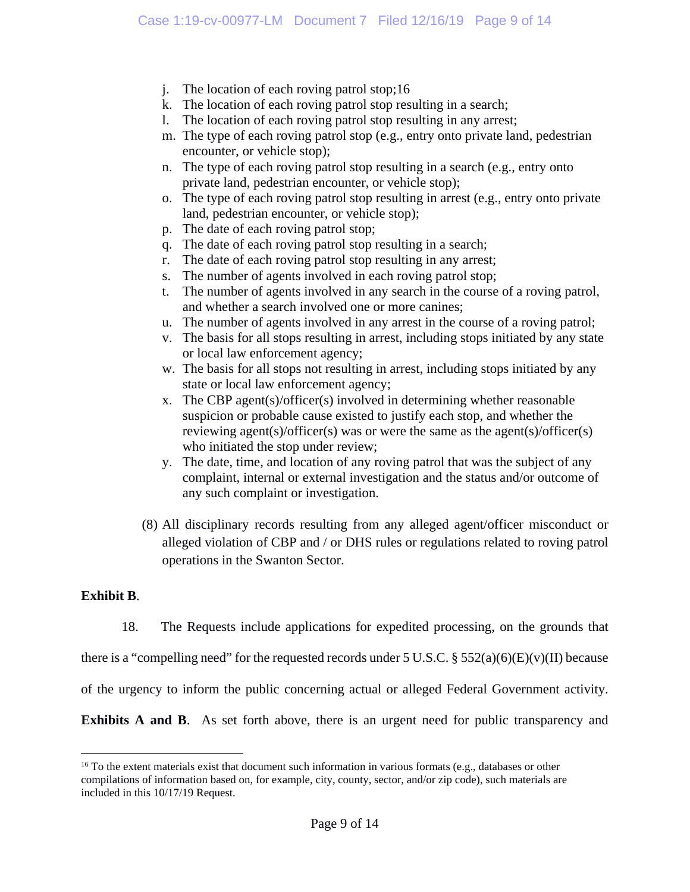- j. The location of each roving patrol stop;16
- k. The location of each roving patrol stop resulting in a search;
- l. The location of each roving patrol stop resulting in any arrest;
- m. The type of each roving patrol stop (e.g., entry onto private land, pedestrian encounter, or vehicle stop);
- n. The type of each roving patrol stop resulting in a search (e.g., entry onto private land, pedestrian encounter, or vehicle stop);
- o. The type of each roving patrol stop resulting in arrest (e.g., entry onto private land, pedestrian encounter, or vehicle stop);
- p. The date of each roving patrol stop;
- q. The date of each roving patrol stop resulting in a search;
- r. The date of each roving patrol stop resulting in any arrest;
- s. The number of agents involved in each roving patrol stop;
- t. The number of agents involved in any search in the course of a roving patrol, and whether a search involved one or more canines;
- u. The number of agents involved in any arrest in the course of a roving patrol;
- v. The basis for all stops resulting in arrest, including stops initiated by any state or local law enforcement agency;
- w. The basis for all stops not resulting in arrest, including stops initiated by any state or local law enforcement agency;
- x. The CBP agent(s)/officer(s) involved in determining whether reasonable suspicion or probable cause existed to justify each stop, and whether the reviewing agent(s)/officer(s) was or were the same as the agent(s)/officer(s) who initiated the stop under review;
- y. The date, time, and location of any roving patrol that was the subject of any complaint, internal or external investigation and the status and/or outcome of any such complaint or investigation.
- (8) All disciplinary records resulting from any alleged agent/officer misconduct or alleged violation of CBP and / or DHS rules or regulations related to roving patrol operations in the Swanton Sector.

### **Exhibit B**.

 $\overline{a}$ 

18. The Requests include applications for expedited processing, on the grounds that

there is a "compelling need" for the requested records under 5 U.S.C. § 552(a)(6)(E)(v)(II) because

of the urgency to inform the public concerning actual or alleged Federal Government activity.

**Exhibits A and B.** As set forth above, there is an urgent need for public transparency and

<sup>&</sup>lt;sup>16</sup> To the extent materials exist that document such information in various formats (e.g., databases or other compilations of information based on, for example, city, county, sector, and/or zip code), such materials are included in this 10/17/19 Request.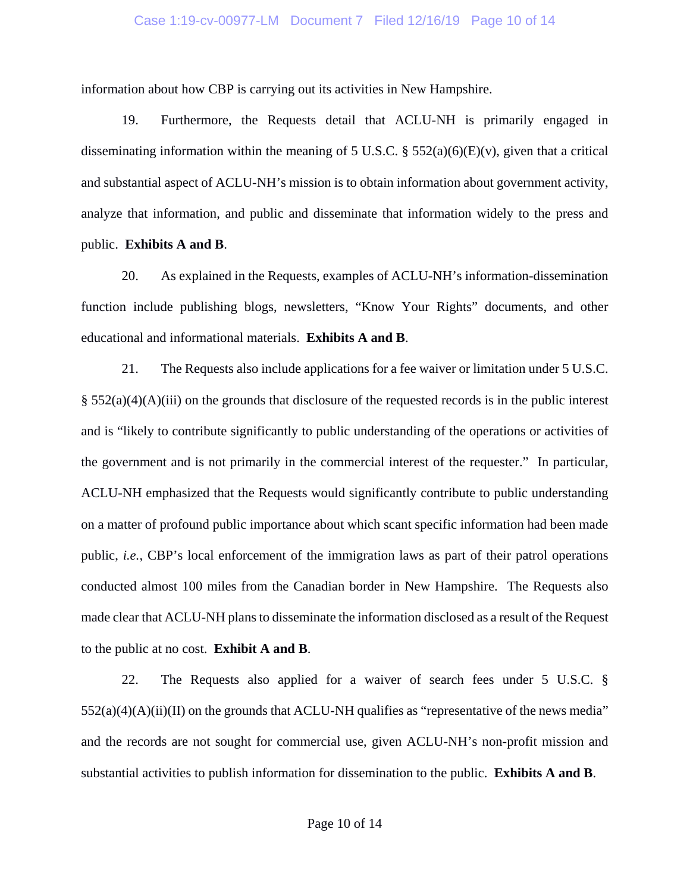#### Case 1:19-cv-00977-LM Document 7 Filed 12/16/19 Page 10 of 14

information about how CBP is carrying out its activities in New Hampshire.

19. Furthermore, the Requests detail that ACLU-NH is primarily engaged in disseminating information within the meaning of 5 U.S.C.  $\S$  552(a)(6)(E)(v), given that a critical and substantial aspect of ACLU-NH's mission is to obtain information about government activity, analyze that information, and public and disseminate that information widely to the press and public. **Exhibits A and B**.

20. As explained in the Requests, examples of ACLU-NH's information-dissemination function include publishing blogs, newsletters, "Know Your Rights" documents, and other educational and informational materials. **Exhibits A and B**.

21. The Requests also include applications for a fee waiver or limitation under 5 U.S.C.  $\S$  552(a)(4)(A)(iii) on the grounds that disclosure of the requested records is in the public interest and is "likely to contribute significantly to public understanding of the operations or activities of the government and is not primarily in the commercial interest of the requester." In particular, ACLU-NH emphasized that the Requests would significantly contribute to public understanding on a matter of profound public importance about which scant specific information had been made public, *i.e.*, CBP's local enforcement of the immigration laws as part of their patrol operations conducted almost 100 miles from the Canadian border in New Hampshire. The Requests also made clear that ACLU-NH plans to disseminate the information disclosed as a result of the Request to the public at no cost. **Exhibit A and B**.

22. The Requests also applied for a waiver of search fees under 5 U.S.C. §  $552(a)(4)(A)(ii)(II)$  on the grounds that ACLU-NH qualifies as "representative of the news media" and the records are not sought for commercial use, given ACLU-NH's non-profit mission and substantial activities to publish information for dissemination to the public. **Exhibits A and B**.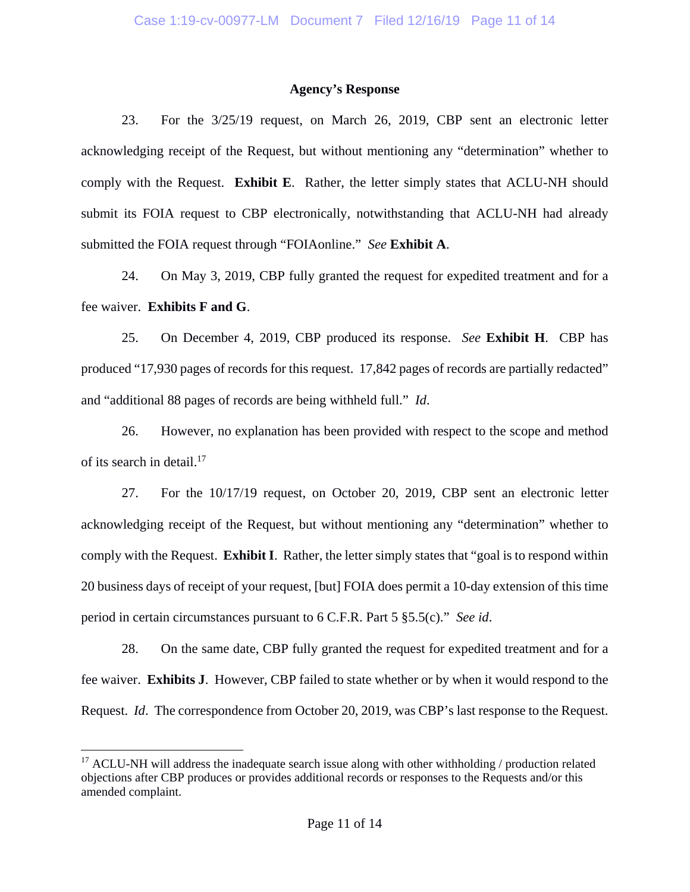### **Agency's Response**

23. For the 3/25/19 request, on March 26, 2019, CBP sent an electronic letter acknowledging receipt of the Request, but without mentioning any "determination" whether to comply with the Request. **Exhibit E**. Rather, the letter simply states that ACLU-NH should submit its FOIA request to CBP electronically, notwithstanding that ACLU-NH had already submitted the FOIA request through "FOIAonline." *See* **Exhibit A**.

24. On May 3, 2019, CBP fully granted the request for expedited treatment and for a fee waiver. **Exhibits F and G**.

25. On December 4, 2019, CBP produced its response. *See* **Exhibit H**. CBP has produced "17,930 pages of records for this request. 17,842 pages of records are partially redacted" and "additional 88 pages of records are being withheld full." *Id*.

26. However, no explanation has been provided with respect to the scope and method of its search in detail. $17$ 

27. For the 10/17/19 request, on October 20, 2019, CBP sent an electronic letter acknowledging receipt of the Request, but without mentioning any "determination" whether to comply with the Request. **Exhibit I**. Rather, the letter simply states that "goal is to respond within 20 business days of receipt of your request, [but] FOIA does permit a 10-day extension of this time period in certain circumstances pursuant to 6 C.F.R. Part 5 §5.5(c)." *See id*.

28. On the same date, CBP fully granted the request for expedited treatment and for a fee waiver. **Exhibits J**. However, CBP failed to state whether or by when it would respond to the Request. *Id*. The correspondence from October 20, 2019, was CBP's last response to the Request.

 $\overline{a}$ 

<sup>&</sup>lt;sup>17</sup> ACLU-NH will address the inadequate search issue along with other withholding / production related objections after CBP produces or provides additional records or responses to the Requests and/or this amended complaint.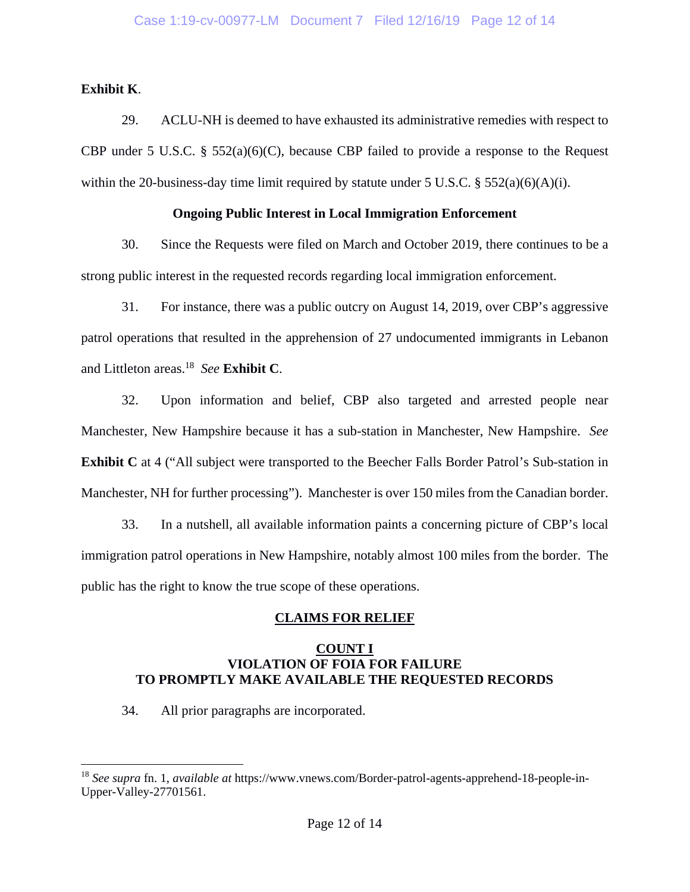**Exhibit K**.

1

29. ACLU-NH is deemed to have exhausted its administrative remedies with respect to CBP under 5 U.S.C. §  $552(a)(6)(C)$ , because CBP failed to provide a response to the Request within the 20-business-day time limit required by statute under 5 U.S.C.  $\S$  552(a)(6)(A)(i).

### **Ongoing Public Interest in Local Immigration Enforcement**

30. Since the Requests were filed on March and October 2019, there continues to be a strong public interest in the requested records regarding local immigration enforcement.

31. For instance, there was a public outcry on August 14, 2019, over CBP's aggressive patrol operations that resulted in the apprehension of 27 undocumented immigrants in Lebanon and Littleton areas.18 *See* **Exhibit C**.

32. Upon information and belief, CBP also targeted and arrested people near Manchester, New Hampshire because it has a sub-station in Manchester, New Hampshire. *See*  **Exhibit C** at 4 ("All subject were transported to the Beecher Falls Border Patrol's Sub-station in Manchester, NH for further processing"). Manchester is over 150 miles from the Canadian border.

33. In a nutshell, all available information paints a concerning picture of CBP's local immigration patrol operations in New Hampshire, notably almost 100 miles from the border. The public has the right to know the true scope of these operations.

## **CLAIMS FOR RELIEF**

### **COUNT I VIOLATION OF FOIA FOR FAILURE TO PROMPTLY MAKE AVAILABLE THE REQUESTED RECORDS**

34. All prior paragraphs are incorporated.

<sup>18</sup> *See supra* fn. 1, *available at* https://www.vnews.com/Border-patrol-agents-apprehend-18-people-in-Upper-Valley-27701561.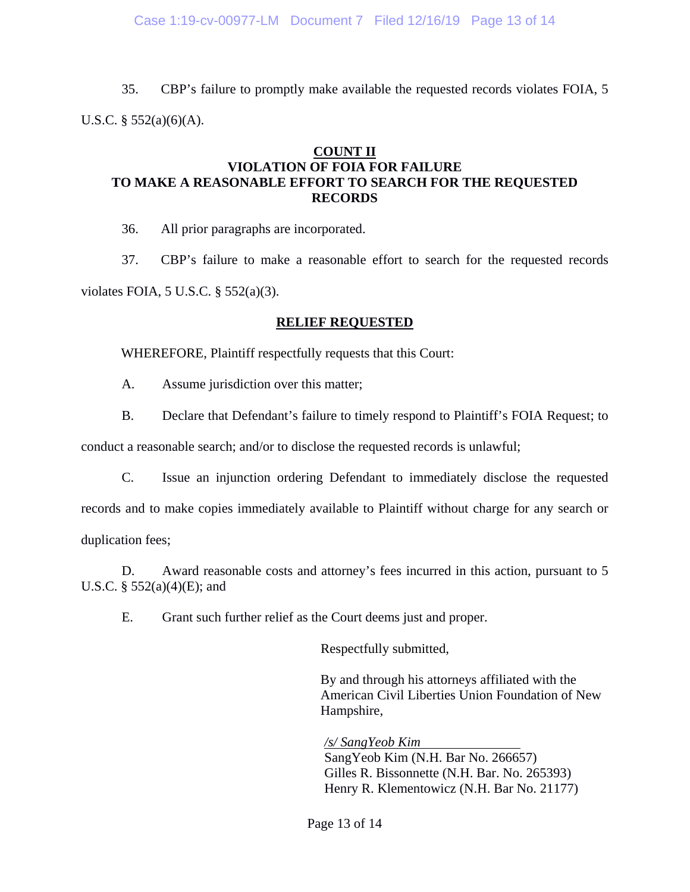35. CBP's failure to promptly make available the requested records violates FOIA, 5 U.S.C.  $\S$  552(a)(6)(A).

### **COUNT II VIOLATION OF FOIA FOR FAILURE TO MAKE A REASONABLE EFFORT TO SEARCH FOR THE REQUESTED RECORDS**

36. All prior paragraphs are incorporated.

37. CBP's failure to make a reasonable effort to search for the requested records violates FOIA, 5 U.S.C. § 552(a)(3).

### **RELIEF REQUESTED**

WHEREFORE, Plaintiff respectfully requests that this Court:

A. Assume jurisdiction over this matter;

B. Declare that Defendant's failure to timely respond to Plaintiff's FOIA Request; to

conduct a reasonable search; and/or to disclose the requested records is unlawful;

C. Issue an injunction ordering Defendant to immediately disclose the requested

records and to make copies immediately available to Plaintiff without charge for any search or duplication fees;

D. Award reasonable costs and attorney's fees incurred in this action, pursuant to 5 U.S.C.  $\S 552(a)(4)(E)$ ; and

E. Grant such further relief as the Court deems just and proper.

Respectfully submitted,

By and through his attorneys affiliated with the American Civil Liberties Union Foundation of New Hampshire,

*/s/ SangYeob Kim*  SangYeob Kim (N.H. Bar No. 266657) Gilles R. Bissonnette (N.H. Bar. No. 265393) Henry R. Klementowicz (N.H. Bar No. 21177)